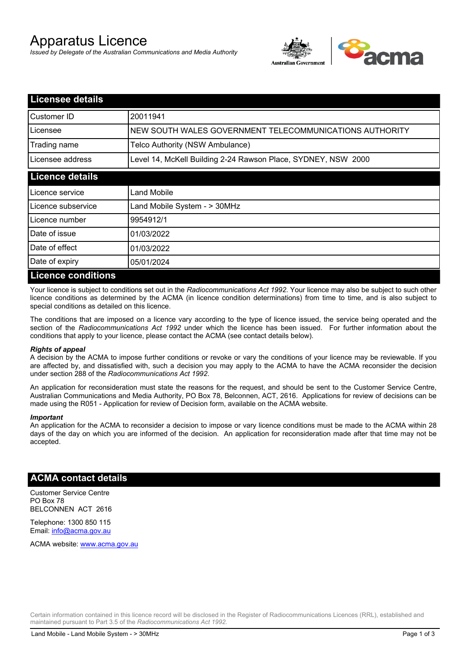# Apparatus Licence

*Issued by Delegate of the Australian Communications and Media Authority*



| <b>Licensee details</b>   |                                                               |  |
|---------------------------|---------------------------------------------------------------|--|
| Customer ID               | 20011941                                                      |  |
| Licensee                  | NEW SOUTH WALES GOVERNMENT TELECOMMUNICATIONS AUTHORITY       |  |
| Trading name              | Telco Authority (NSW Ambulance)                               |  |
| Licensee address          | Level 14, McKell Building 2-24 Rawson Place, SYDNEY, NSW 2000 |  |
| <b>Licence details</b>    |                                                               |  |
| Licence service           | Land Mobile                                                   |  |
| Licence subservice        | Land Mobile System - > 30MHz                                  |  |
| Licence number            | 9954912/1                                                     |  |
| Date of issue             | 01/03/2022                                                    |  |
| Date of effect            | 01/03/2022                                                    |  |
| Date of expiry            | 05/01/2024                                                    |  |
| <b>Licence conditions</b> |                                                               |  |

Your licence is subject to conditions set out in the *Radiocommunications Act 1992*. Your licence may also be subject to such other licence conditions as determined by the ACMA (in licence condition determinations) from time to time, and is also subject to special conditions as detailed on this licence.

The conditions that are imposed on a licence vary according to the type of licence issued, the service being operated and the section of the *Radiocommunications Act 1992* under which the licence has been issued. For further information about the conditions that apply to your licence, please contact the ACMA (see contact details below).

#### *Rights of appeal*

A decision by the ACMA to impose further conditions or revoke or vary the conditions of your licence may be reviewable. If you are affected by, and dissatisfied with, such a decision you may apply to the ACMA to have the ACMA reconsider the decision under section 288 of the *Radiocommunications Act 1992*.

An application for reconsideration must state the reasons for the request, and should be sent to the Customer Service Centre, Australian Communications and Media Authority, PO Box 78, Belconnen, ACT, 2616. Applications for review of decisions can be made using the R051 - Application for review of Decision form, available on the ACMA website.

#### *Important*

An application for the ACMA to reconsider a decision to impose or vary licence conditions must be made to the ACMA within 28 days of the day on which you are informed of the decision. An application for reconsideration made after that time may not be accepted.

### **ACMA contact details**

Customer Service Centre PO Box 78 BELCONNEN ACT 2616

Telephone: 1300 850 115 Email: info@acma.gov.au

ACMA website: www.acma.gov.au

Certain information contained in this licence record will be disclosed in the Register of Radiocommunications Licences (RRL), established and maintained pursuant to Part 3.5 of the *Radiocommunications Act 1992.*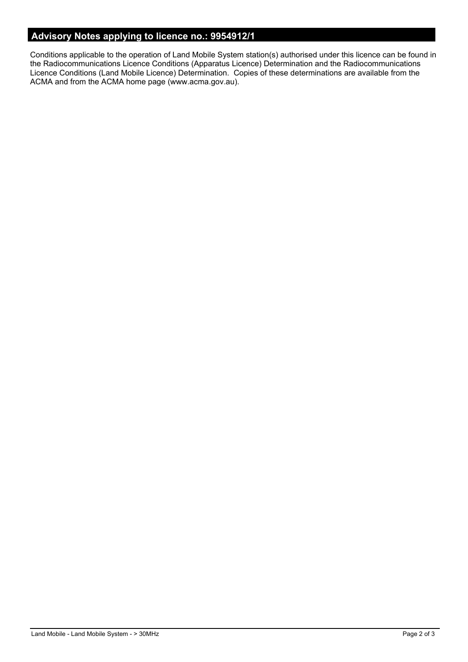# **Advisory Notes applying to licence no.: 9954912/1**

Conditions applicable to the operation of Land Mobile System station(s) authorised under this licence can be found in the Radiocommunications Licence Conditions (Apparatus Licence) Determination and the Radiocommunications Licence Conditions (Land Mobile Licence) Determination. Copies of these determinations are available from the ACMA and from the ACMA home page (www.acma.gov.au).